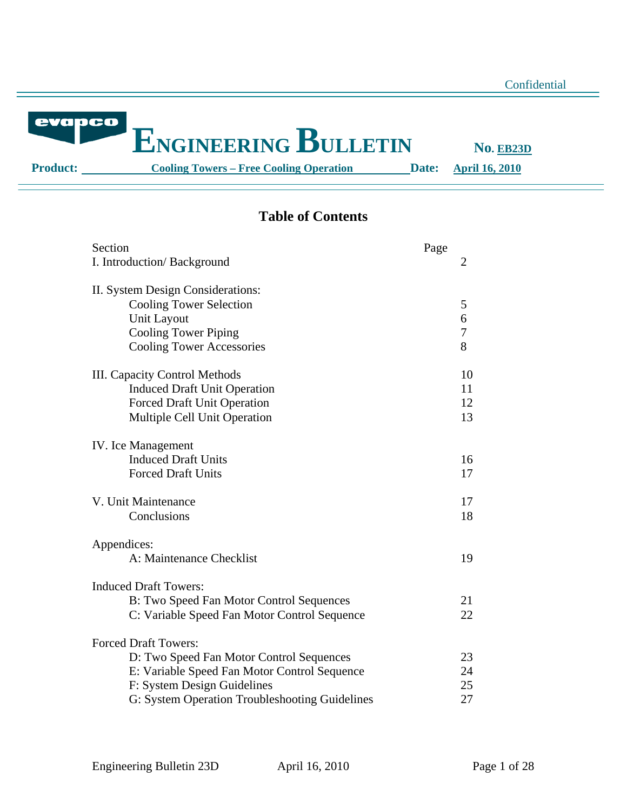evapco

# **ENGINEERING BULLETIN** NO. EB23D

**Product:** Cooling Towers – Free Cooling Operation Date: April 16, 2010

## **Table of Contents**

| Section<br>I. Introduction/Background                                                                                                                                                                    | Page | 2                    |
|----------------------------------------------------------------------------------------------------------------------------------------------------------------------------------------------------------|------|----------------------|
| II. System Design Considerations:<br><b>Cooling Tower Selection</b><br><b>Unit Layout</b><br><b>Cooling Tower Piping</b><br><b>Cooling Tower Accessories</b>                                             |      | 5<br>6<br>7<br>8     |
| <b>III.</b> Capacity Control Methods<br><b>Induced Draft Unit Operation</b><br><b>Forced Draft Unit Operation</b><br>Multiple Cell Unit Operation                                                        |      | 10<br>11<br>12<br>13 |
| <b>IV.</b> Ice Management<br><b>Induced Draft Units</b><br><b>Forced Draft Units</b>                                                                                                                     |      | 16<br>17             |
| V. Unit Maintenance<br>Conclusions                                                                                                                                                                       |      | 17<br>18             |
| Appendices:<br>A: Maintenance Checklist                                                                                                                                                                  |      | 19                   |
| <b>Induced Draft Towers:</b><br>B: Two Speed Fan Motor Control Sequences<br>C: Variable Speed Fan Motor Control Sequence                                                                                 |      | 21<br>22             |
| <b>Forced Draft Towers:</b><br>D: Two Speed Fan Motor Control Sequences<br>E: Variable Speed Fan Motor Control Sequence<br>F: System Design Guidelines<br>G: System Operation Troubleshooting Guidelines |      | 23<br>24<br>25<br>27 |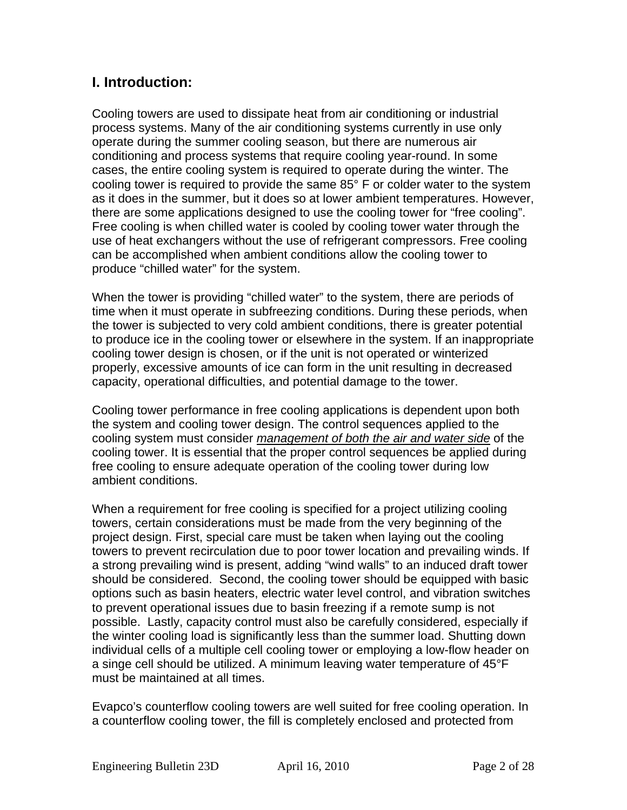## **I. Introduction:**

Cooling towers are used to dissipate heat from air conditioning or industrial process systems. Many of the air conditioning systems currently in use only operate during the summer cooling season, but there are numerous air conditioning and process systems that require cooling year-round. In some cases, the entire cooling system is required to operate during the winter. The cooling tower is required to provide the same 85° F or colder water to the system as it does in the summer, but it does so at lower ambient temperatures. However, there are some applications designed to use the cooling tower for "free cooling". Free cooling is when chilled water is cooled by cooling tower water through the use of heat exchangers without the use of refrigerant compressors. Free cooling can be accomplished when ambient conditions allow the cooling tower to produce "chilled water" for the system.

When the tower is providing "chilled water" to the system, there are periods of time when it must operate in subfreezing conditions. During these periods, when the tower is subjected to very cold ambient conditions, there is greater potential to produce ice in the cooling tower or elsewhere in the system. If an inappropriate cooling tower design is chosen, or if the unit is not operated or winterized properly, excessive amounts of ice can form in the unit resulting in decreased capacity, operational difficulties, and potential damage to the tower.

Cooling tower performance in free cooling applications is dependent upon both the system and cooling tower design. The control sequences applied to the cooling system must consider *management of both the air and water side* of the cooling tower. It is essential that the proper control sequences be applied during free cooling to ensure adequate operation of the cooling tower during low ambient conditions.

When a requirement for free cooling is specified for a project utilizing cooling towers, certain considerations must be made from the very beginning of the project design. First, special care must be taken when laying out the cooling towers to prevent recirculation due to poor tower location and prevailing winds. If a strong prevailing wind is present, adding "wind walls" to an induced draft tower should be considered. Second, the cooling tower should be equipped with basic options such as basin heaters, electric water level control, and vibration switches to prevent operational issues due to basin freezing if a remote sump is not possible. Lastly, capacity control must also be carefully considered, especially if the winter cooling load is significantly less than the summer load. Shutting down individual cells of a multiple cell cooling tower or employing a low-flow header on a singe cell should be utilized. A minimum leaving water temperature of 45°F must be maintained at all times.

Evapco's counterflow cooling towers are well suited for free cooling operation. In a counterflow cooling tower, the fill is completely enclosed and protected from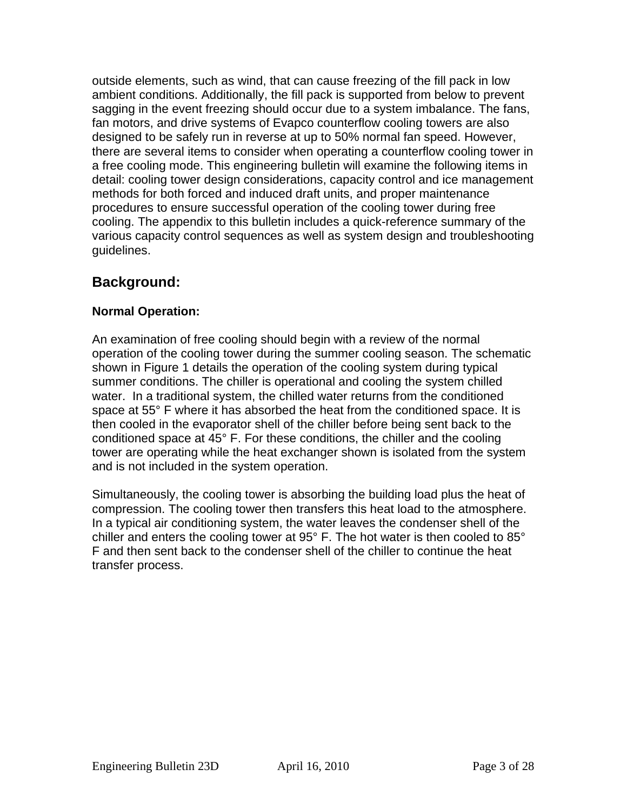outside elements, such as wind, that can cause freezing of the fill pack in low ambient conditions. Additionally, the fill pack is supported from below to prevent sagging in the event freezing should occur due to a system imbalance. The fans, fan motors, and drive systems of Evapco counterflow cooling towers are also designed to be safely run in reverse at up to 50% normal fan speed. However, there are several items to consider when operating a counterflow cooling tower in a free cooling mode. This engineering bulletin will examine the following items in detail: cooling tower design considerations, capacity control and ice management methods for both forced and induced draft units, and proper maintenance procedures to ensure successful operation of the cooling tower during free cooling. The appendix to this bulletin includes a quick-reference summary of the various capacity control sequences as well as system design and troubleshooting guidelines.

## **Background:**

## **Normal Operation:**

An examination of free cooling should begin with a review of the normal operation of the cooling tower during the summer cooling season. The schematic shown in Figure 1 details the operation of the cooling system during typical summer conditions. The chiller is operational and cooling the system chilled water. In a traditional system, the chilled water returns from the conditioned space at 55° F where it has absorbed the heat from the conditioned space. It is then cooled in the evaporator shell of the chiller before being sent back to the conditioned space at 45° F. For these conditions, the chiller and the cooling tower are operating while the heat exchanger shown is isolated from the system and is not included in the system operation.

Simultaneously, the cooling tower is absorbing the building load plus the heat of compression. The cooling tower then transfers this heat load to the atmosphere. In a typical air conditioning system, the water leaves the condenser shell of the chiller and enters the cooling tower at 95° F. The hot water is then cooled to 85° F and then sent back to the condenser shell of the chiller to continue the heat transfer process.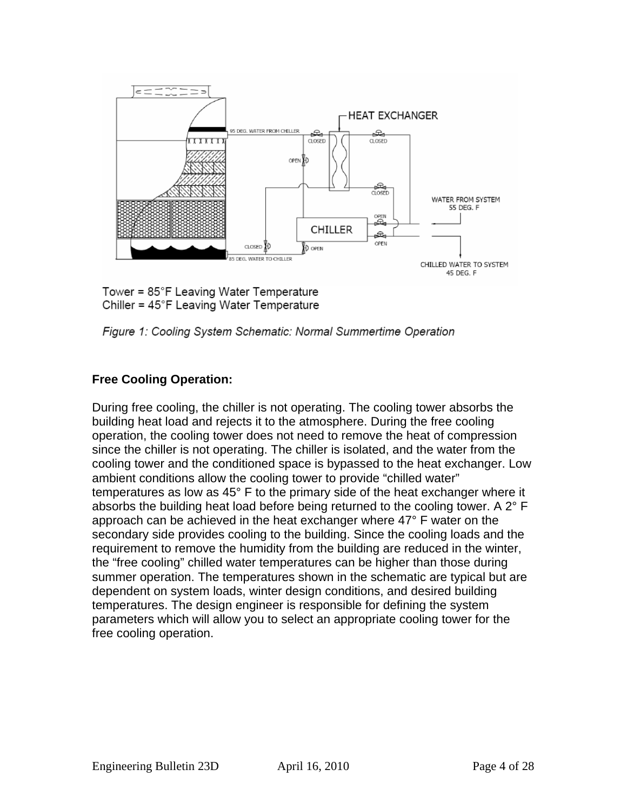

Tower =  $85^{\circ}$ F Leaving Water Temperature Chiller = 45°F Leaving Water Temperature

Figure 1: Cooling System Schematic: Normal Summertime Operation

## **Free Cooling Operation:**

During free cooling, the chiller is not operating. The cooling tower absorbs the building heat load and rejects it to the atmosphere. During the free cooling operation, the cooling tower does not need to remove the heat of compression since the chiller is not operating. The chiller is isolated, and the water from the cooling tower and the conditioned space is bypassed to the heat exchanger. Low ambient conditions allow the cooling tower to provide "chilled water" temperatures as low as 45° F to the primary side of the heat exchanger where it absorbs the building heat load before being returned to the cooling tower. A 2° F approach can be achieved in the heat exchanger where 47° F water on the secondary side provides cooling to the building. Since the cooling loads and the requirement to remove the humidity from the building are reduced in the winter, the "free cooling" chilled water temperatures can be higher than those during summer operation. The temperatures shown in the schematic are typical but are dependent on system loads, winter design conditions, and desired building temperatures. The design engineer is responsible for defining the system parameters which will allow you to select an appropriate cooling tower for the free cooling operation.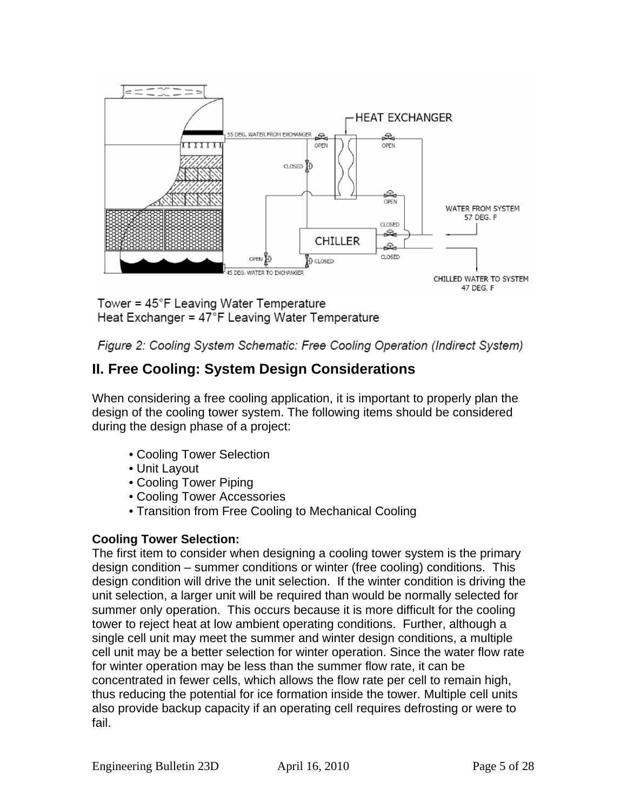

Tower = 45°F Leaving Water Temperature Heat Exchanger = 47°F Leaving Water Temperature

Figure 2: Cooling System Schematic: Free Cooling Operation (Indirect System)

## **II. Free Cooling: System Design Considerations**

When considering a free cooling application, it is important to properly plan the design of the cooling tower system. The following items should be considered during the design phase of a project:

- Cooling Tower Selection
- Unit Layout
- Cooling Tower Piping
- Cooling Tower Accessories
- Transition from Free Cooling to Mechanical Cooling

## **Cooling Tower Selection:**

The first item to consider when designing a cooling tower system is the primary design condition – summer conditions or winter (free cooling) conditions. This design condition will drive the unit selection. If the winter condition is driving the unit selection, a larger unit will be required than would be normally selected for summer only operation. This occurs because it is more difficult for the cooling tower to reject heat at low ambient operating conditions. Further, although a single cell unit may meet the summer and winter design conditions, a multiple cell unit may be a better selection for winter operation. Since the water flow rate for winter operation may be less than the summer flow rate, it can be concentrated in fewer cells, which allows the flow rate per cell to remain high, thus reducing the potential for ice formation inside the tower. Multiple cell units also provide backup capacity if an operating cell requires defrosting or were to fail.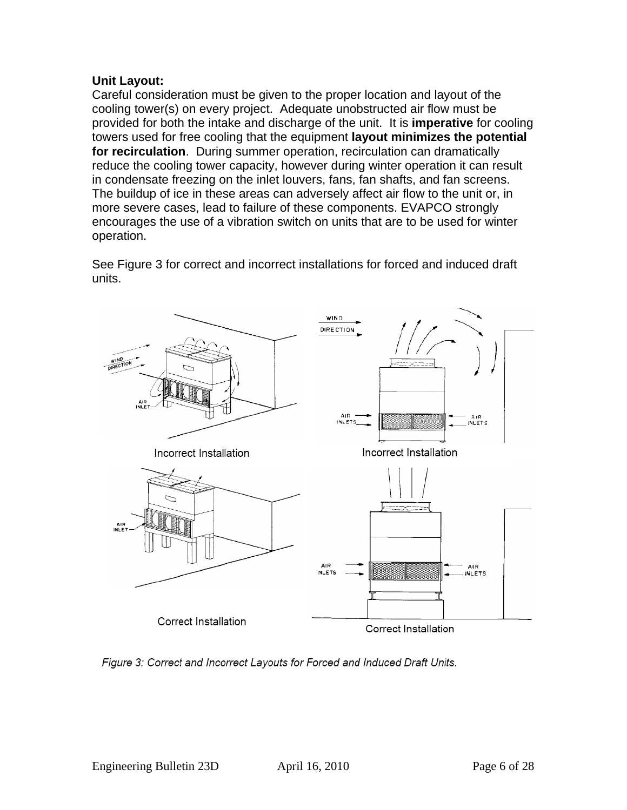### **Unit Layout:**

Careful consideration must be given to the proper location and layout of the cooling tower(s) on every project. Adequate unobstructed air flow must be provided for both the intake and discharge of the unit. It is **imperative** for cooling towers used for free cooling that the equipment **layout minimizes the potential for recirculation**. During summer operation, recirculation can dramatically reduce the cooling tower capacity, however during winter operation it can result in condensate freezing on the inlet louvers, fans, fan shafts, and fan screens. The buildup of ice in these areas can adversely affect air flow to the unit or, in more severe cases, lead to failure of these components. EVAPCO strongly encourages the use of a vibration switch on units that are to be used for winter operation.

See Figure 3 for correct and incorrect installations for forced and induced draft units.



Figure 3: Correct and Incorrect Layouts for Forced and Induced Draft Units.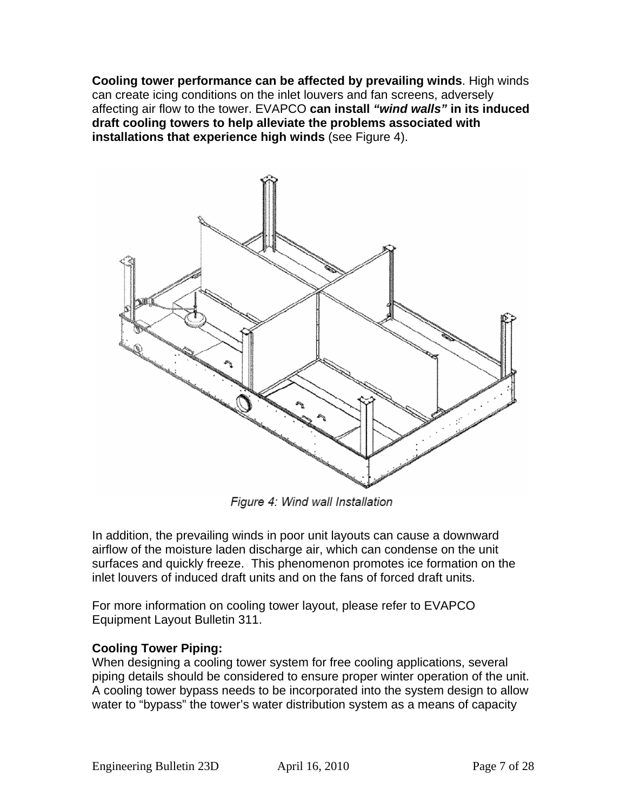**Cooling tower performance can be affected by prevailing winds**. High winds can create icing conditions on the inlet louvers and fan screens, adversely affecting air flow to the tower. EVAPCO **can install** *"wind walls"* **in its induced draft cooling towers to help alleviate the problems associated with installations that experience high winds** (see Figure 4).



Figure 4: Wind wall Installation

In addition, the prevailing winds in poor unit layouts can cause a downward airflow of the moisture laden discharge air, which can condense on the unit surfaces and quickly freeze. This phenomenon promotes ice formation on the inlet louvers of induced draft units and on the fans of forced draft units.

For more information on cooling tower layout, please refer to EVAPCO Equipment Layout Bulletin 311.

## **Cooling Tower Piping:**

When designing a cooling tower system for free cooling applications, several piping details should be considered to ensure proper winter operation of the unit. A cooling tower bypass needs to be incorporated into the system design to allow water to "bypass" the tower's water distribution system as a means of capacity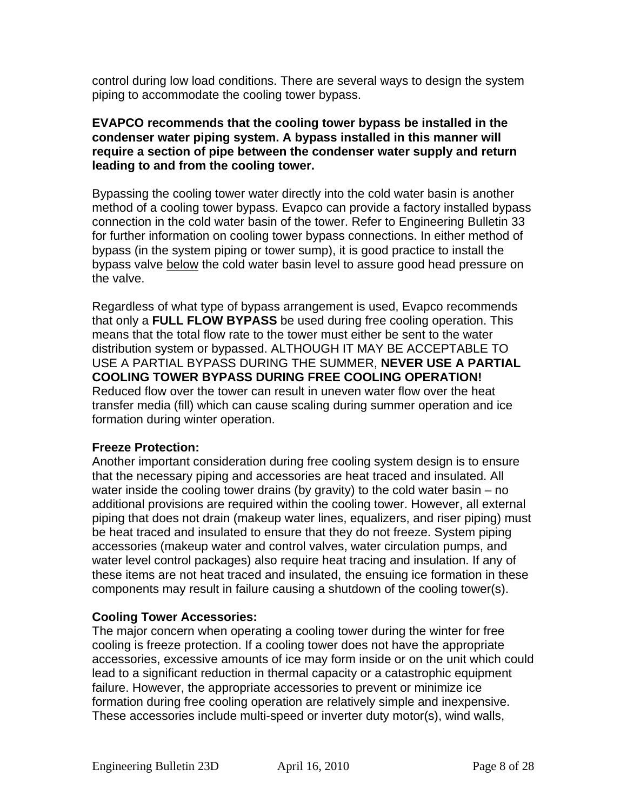control during low load conditions. There are several ways to design the system piping to accommodate the cooling tower bypass.

### **EVAPCO recommends that the cooling tower bypass be installed in the condenser water piping system. A bypass installed in this manner will require a section of pipe between the condenser water supply and return leading to and from the cooling tower.**

Bypassing the cooling tower water directly into the cold water basin is another method of a cooling tower bypass. Evapco can provide a factory installed bypass connection in the cold water basin of the tower. Refer to Engineering Bulletin 33 for further information on cooling tower bypass connections. In either method of bypass (in the system piping or tower sump), it is good practice to install the bypass valve below the cold water basin level to assure good head pressure on the valve.

Regardless of what type of bypass arrangement is used, Evapco recommends that only a **FULL FLOW BYPASS** be used during free cooling operation. This means that the total flow rate to the tower must either be sent to the water distribution system or bypassed. ALTHOUGH IT MAY BE ACCEPTABLE TO USE A PARTIAL BYPASS DURING THE SUMMER, **NEVER USE A PARTIAL COOLING TOWER BYPASS DURING FREE COOLING OPERATION!** Reduced flow over the tower can result in uneven water flow over the heat transfer media (fill) which can cause scaling during summer operation and ice formation during winter operation.

### **Freeze Protection:**

Another important consideration during free cooling system design is to ensure that the necessary piping and accessories are heat traced and insulated. All water inside the cooling tower drains (by gravity) to the cold water basin – no additional provisions are required within the cooling tower. However, all external piping that does not drain (makeup water lines, equalizers, and riser piping) must be heat traced and insulated to ensure that they do not freeze. System piping accessories (makeup water and control valves, water circulation pumps, and water level control packages) also require heat tracing and insulation. If any of these items are not heat traced and insulated, the ensuing ice formation in these components may result in failure causing a shutdown of the cooling tower(s).

## **Cooling Tower Accessories:**

The major concern when operating a cooling tower during the winter for free cooling is freeze protection. If a cooling tower does not have the appropriate accessories, excessive amounts of ice may form inside or on the unit which could lead to a significant reduction in thermal capacity or a catastrophic equipment failure. However, the appropriate accessories to prevent or minimize ice formation during free cooling operation are relatively simple and inexpensive. These accessories include multi-speed or inverter duty motor(s), wind walls,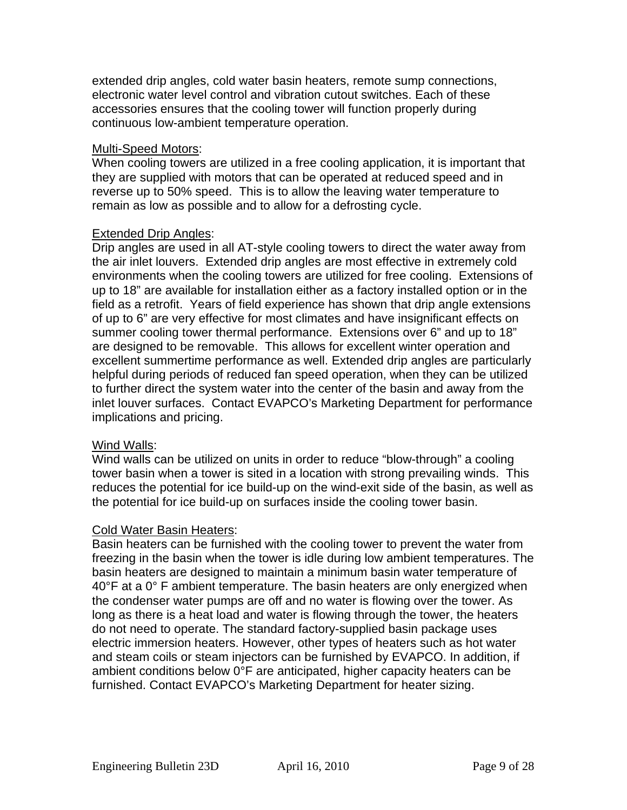extended drip angles, cold water basin heaters, remote sump connections, electronic water level control and vibration cutout switches. Each of these accessories ensures that the cooling tower will function properly during continuous low-ambient temperature operation.

### Multi-Speed Motors:

When cooling towers are utilized in a free cooling application, it is important that they are supplied with motors that can be operated at reduced speed and in reverse up to 50% speed. This is to allow the leaving water temperature to remain as low as possible and to allow for a defrosting cycle.

### Extended Drip Angles:

Drip angles are used in all AT-style cooling towers to direct the water away from the air inlet louvers. Extended drip angles are most effective in extremely cold environments when the cooling towers are utilized for free cooling. Extensions of up to 18" are available for installation either as a factory installed option or in the field as a retrofit. Years of field experience has shown that drip angle extensions of up to 6" are very effective for most climates and have insignificant effects on summer cooling tower thermal performance. Extensions over 6" and up to 18" are designed to be removable. This allows for excellent winter operation and excellent summertime performance as well. Extended drip angles are particularly helpful during periods of reduced fan speed operation, when they can be utilized to further direct the system water into the center of the basin and away from the inlet louver surfaces. Contact EVAPCO's Marketing Department for performance implications and pricing.

### Wind Walls:

Wind walls can be utilized on units in order to reduce "blow-through" a cooling tower basin when a tower is sited in a location with strong prevailing winds. This reduces the potential for ice build-up on the wind-exit side of the basin, as well as the potential for ice build-up on surfaces inside the cooling tower basin.

### Cold Water Basin Heaters:

Basin heaters can be furnished with the cooling tower to prevent the water from freezing in the basin when the tower is idle during low ambient temperatures. The basin heaters are designed to maintain a minimum basin water temperature of 40°F at a 0°F ambient temperature. The basin heaters are only energized when the condenser water pumps are off and no water is flowing over the tower. As long as there is a heat load and water is flowing through the tower, the heaters do not need to operate. The standard factory-supplied basin package uses electric immersion heaters. However, other types of heaters such as hot water and steam coils or steam injectors can be furnished by EVAPCO. In addition, if ambient conditions below 0°F are anticipated, higher capacity heaters can be furnished. Contact EVAPCO's Marketing Department for heater sizing.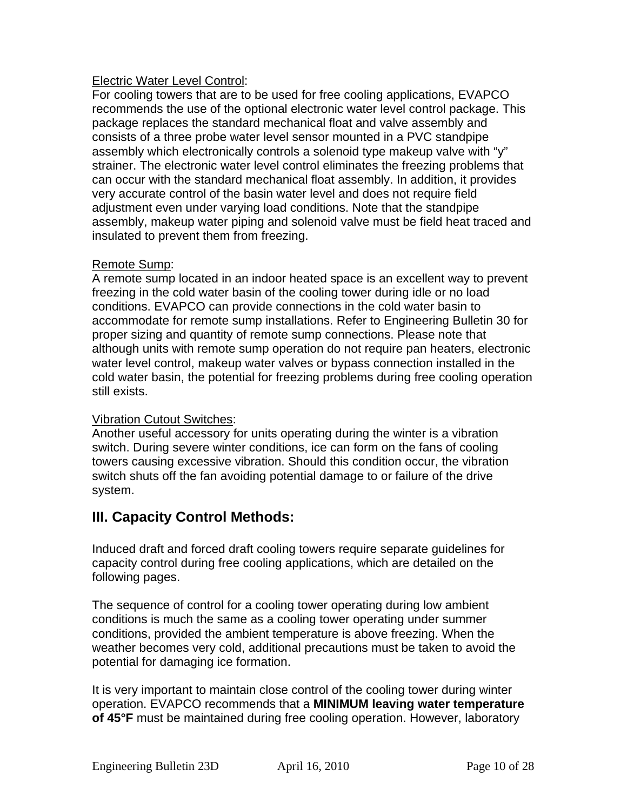### Electric Water Level Control:

For cooling towers that are to be used for free cooling applications, EVAPCO recommends the use of the optional electronic water level control package. This package replaces the standard mechanical float and valve assembly and consists of a three probe water level sensor mounted in a PVC standpipe assembly which electronically controls a solenoid type makeup valve with "y" strainer. The electronic water level control eliminates the freezing problems that can occur with the standard mechanical float assembly. In addition, it provides very accurate control of the basin water level and does not require field adjustment even under varying load conditions. Note that the standpipe assembly, makeup water piping and solenoid valve must be field heat traced and insulated to prevent them from freezing.

### Remote Sump:

A remote sump located in an indoor heated space is an excellent way to prevent freezing in the cold water basin of the cooling tower during idle or no load conditions. EVAPCO can provide connections in the cold water basin to accommodate for remote sump installations. Refer to Engineering Bulletin 30 for proper sizing and quantity of remote sump connections. Please note that although units with remote sump operation do not require pan heaters, electronic water level control, makeup water valves or bypass connection installed in the cold water basin, the potential for freezing problems during free cooling operation still exists.

## Vibration Cutout Switches:

Another useful accessory for units operating during the winter is a vibration switch. During severe winter conditions, ice can form on the fans of cooling towers causing excessive vibration. Should this condition occur, the vibration switch shuts off the fan avoiding potential damage to or failure of the drive system.

## **III. Capacity Control Methods:**

Induced draft and forced draft cooling towers require separate guidelines for capacity control during free cooling applications, which are detailed on the following pages.

The sequence of control for a cooling tower operating during low ambient conditions is much the same as a cooling tower operating under summer conditions, provided the ambient temperature is above freezing. When the weather becomes very cold, additional precautions must be taken to avoid the potential for damaging ice formation.

It is very important to maintain close control of the cooling tower during winter operation. EVAPCO recommends that a **MINIMUM leaving water temperature of 45°F** must be maintained during free cooling operation. However, laboratory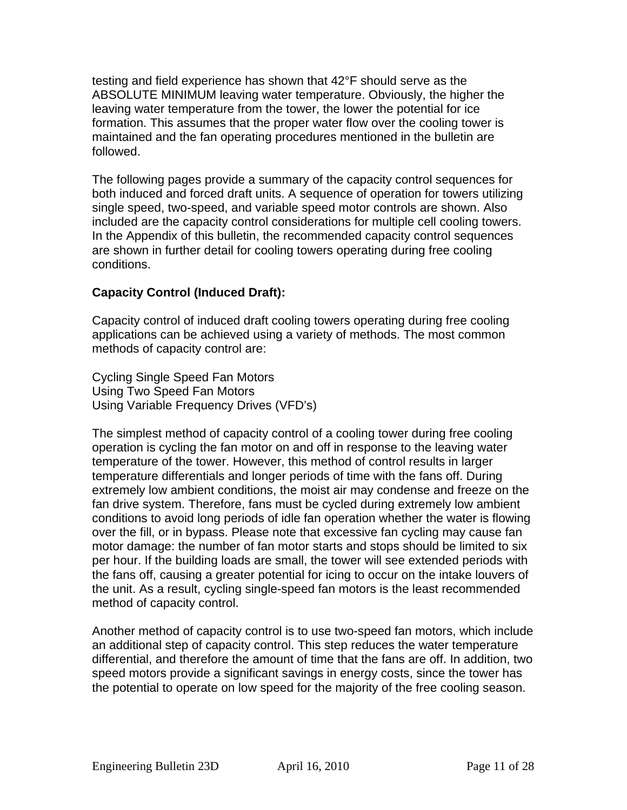testing and field experience has shown that 42°F should serve as the ABSOLUTE MINIMUM leaving water temperature. Obviously, the higher the leaving water temperature from the tower, the lower the potential for ice formation. This assumes that the proper water flow over the cooling tower is maintained and the fan operating procedures mentioned in the bulletin are followed.

The following pages provide a summary of the capacity control sequences for both induced and forced draft units. A sequence of operation for towers utilizing single speed, two-speed, and variable speed motor controls are shown. Also included are the capacity control considerations for multiple cell cooling towers. In the Appendix of this bulletin, the recommended capacity control sequences are shown in further detail for cooling towers operating during free cooling conditions.

## **Capacity Control (Induced Draft):**

Capacity control of induced draft cooling towers operating during free cooling applications can be achieved using a variety of methods. The most common methods of capacity control are:

Cycling Single Speed Fan Motors Using Two Speed Fan Motors Using Variable Frequency Drives (VFD's)

The simplest method of capacity control of a cooling tower during free cooling operation is cycling the fan motor on and off in response to the leaving water temperature of the tower. However, this method of control results in larger temperature differentials and longer periods of time with the fans off. During extremely low ambient conditions, the moist air may condense and freeze on the fan drive system. Therefore, fans must be cycled during extremely low ambient conditions to avoid long periods of idle fan operation whether the water is flowing over the fill, or in bypass. Please note that excessive fan cycling may cause fan motor damage: the number of fan motor starts and stops should be limited to six per hour. If the building loads are small, the tower will see extended periods with the fans off, causing a greater potential for icing to occur on the intake louvers of the unit. As a result, cycling single-speed fan motors is the least recommended method of capacity control.

Another method of capacity control is to use two-speed fan motors, which include an additional step of capacity control. This step reduces the water temperature differential, and therefore the amount of time that the fans are off. In addition, two speed motors provide a significant savings in energy costs, since the tower has the potential to operate on low speed for the majority of the free cooling season.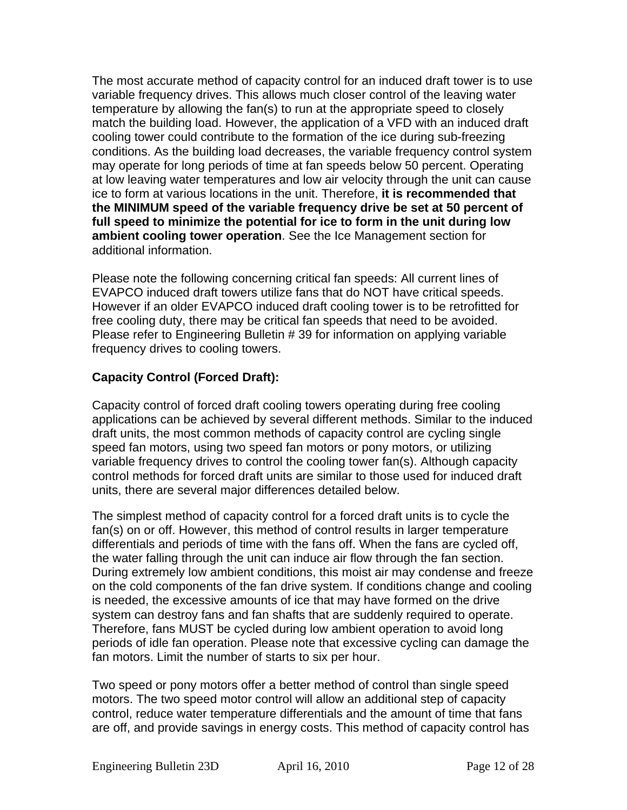The most accurate method of capacity control for an induced draft tower is to use variable frequency drives. This allows much closer control of the leaving water temperature by allowing the fan(s) to run at the appropriate speed to closely match the building load. However, the application of a VFD with an induced draft cooling tower could contribute to the formation of the ice during sub-freezing conditions. As the building load decreases, the variable frequency control system may operate for long periods of time at fan speeds below 50 percent. Operating at low leaving water temperatures and low air velocity through the unit can cause ice to form at various locations in the unit. Therefore, **it is recommended that the MINIMUM speed of the variable frequency drive be set at 50 percent of full speed to minimize the potential for ice to form in the unit during low ambient cooling tower operation**. See the Ice Management section for additional information.

Please note the following concerning critical fan speeds: All current lines of EVAPCO induced draft towers utilize fans that do NOT have critical speeds. However if an older EVAPCO induced draft cooling tower is to be retrofitted for free cooling duty, there may be critical fan speeds that need to be avoided. Please refer to Engineering Bulletin # 39 for information on applying variable frequency drives to cooling towers.

## **Capacity Control (Forced Draft):**

Capacity control of forced draft cooling towers operating during free cooling applications can be achieved by several different methods. Similar to the induced draft units, the most common methods of capacity control are cycling single speed fan motors, using two speed fan motors or pony motors, or utilizing variable frequency drives to control the cooling tower fan(s). Although capacity control methods for forced draft units are similar to those used for induced draft units, there are several major differences detailed below.

The simplest method of capacity control for a forced draft units is to cycle the fan(s) on or off. However, this method of control results in larger temperature differentials and periods of time with the fans off. When the fans are cycled off, the water falling through the unit can induce air flow through the fan section. During extremely low ambient conditions, this moist air may condense and freeze on the cold components of the fan drive system. If conditions change and cooling is needed, the excessive amounts of ice that may have formed on the drive system can destroy fans and fan shafts that are suddenly required to operate. Therefore, fans MUST be cycled during low ambient operation to avoid long periods of idle fan operation. Please note that excessive cycling can damage the fan motors. Limit the number of starts to six per hour.

Two speed or pony motors offer a better method of control than single speed motors. The two speed motor control will allow an additional step of capacity control, reduce water temperature differentials and the amount of time that fans are off, and provide savings in energy costs. This method of capacity control has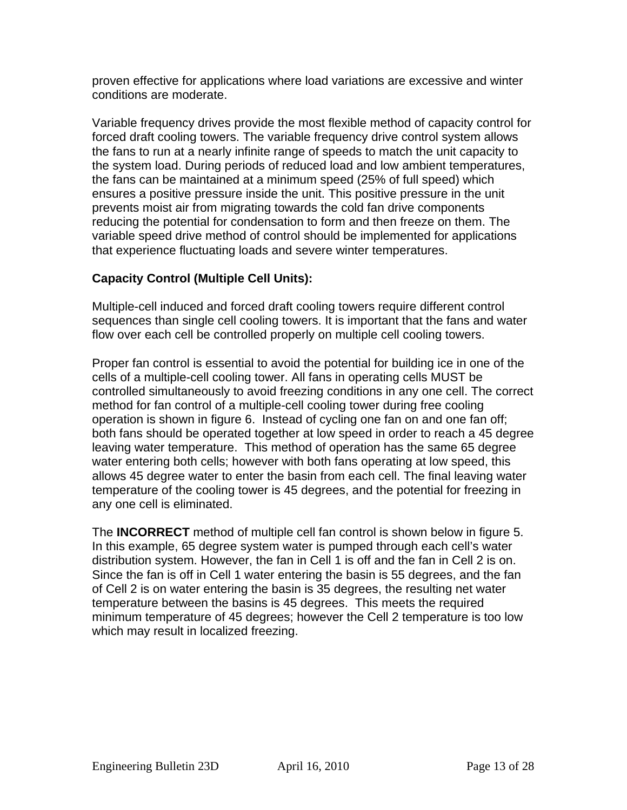proven effective for applications where load variations are excessive and winter conditions are moderate.

Variable frequency drives provide the most flexible method of capacity control for forced draft cooling towers. The variable frequency drive control system allows the fans to run at a nearly infinite range of speeds to match the unit capacity to the system load. During periods of reduced load and low ambient temperatures, the fans can be maintained at a minimum speed (25% of full speed) which ensures a positive pressure inside the unit. This positive pressure in the unit prevents moist air from migrating towards the cold fan drive components reducing the potential for condensation to form and then freeze on them. The variable speed drive method of control should be implemented for applications that experience fluctuating loads and severe winter temperatures.

## **Capacity Control (Multiple Cell Units):**

Multiple-cell induced and forced draft cooling towers require different control sequences than single cell cooling towers. It is important that the fans and water flow over each cell be controlled properly on multiple cell cooling towers.

Proper fan control is essential to avoid the potential for building ice in one of the cells of a multiple-cell cooling tower. All fans in operating cells MUST be controlled simultaneously to avoid freezing conditions in any one cell. The correct method for fan control of a multiple-cell cooling tower during free cooling operation is shown in figure 6. Instead of cycling one fan on and one fan off; both fans should be operated together at low speed in order to reach a 45 degree leaving water temperature. This method of operation has the same 65 degree water entering both cells; however with both fans operating at low speed, this allows 45 degree water to enter the basin from each cell. The final leaving water temperature of the cooling tower is 45 degrees, and the potential for freezing in any one cell is eliminated.

The **INCORRECT** method of multiple cell fan control is shown below in figure 5. In this example, 65 degree system water is pumped through each cell's water distribution system. However, the fan in Cell 1 is off and the fan in Cell 2 is on. Since the fan is off in Cell 1 water entering the basin is 55 degrees, and the fan of Cell 2 is on water entering the basin is 35 degrees, the resulting net water temperature between the basins is 45 degrees. This meets the required minimum temperature of 45 degrees; however the Cell 2 temperature is too low which may result in localized freezing.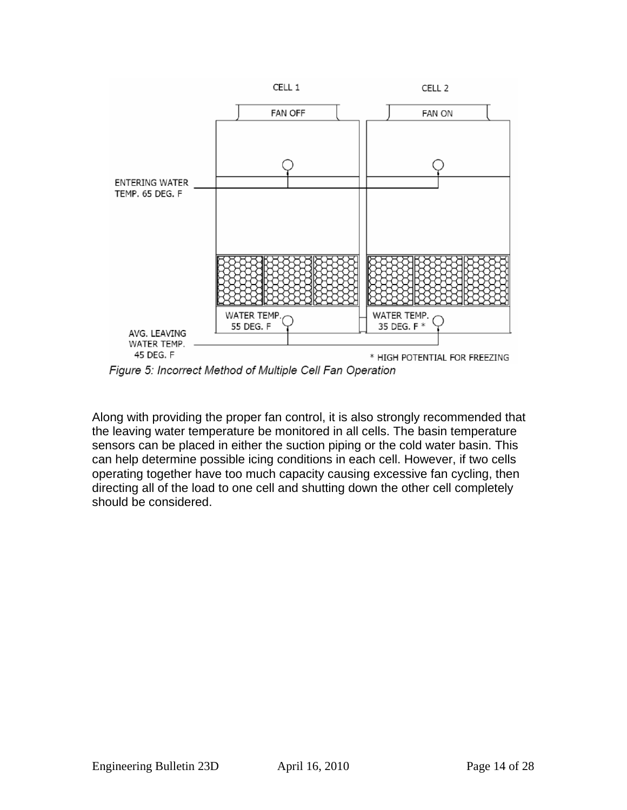

Figure 5: Incorrect Method of Multiple Cell Fan Operation

Along with providing the proper fan control, it is also strongly recommended that the leaving water temperature be monitored in all cells. The basin temperature sensors can be placed in either the suction piping or the cold water basin. This can help determine possible icing conditions in each cell. However, if two cells operating together have too much capacity causing excessive fan cycling, then directing all of the load to one cell and shutting down the other cell completely should be considered.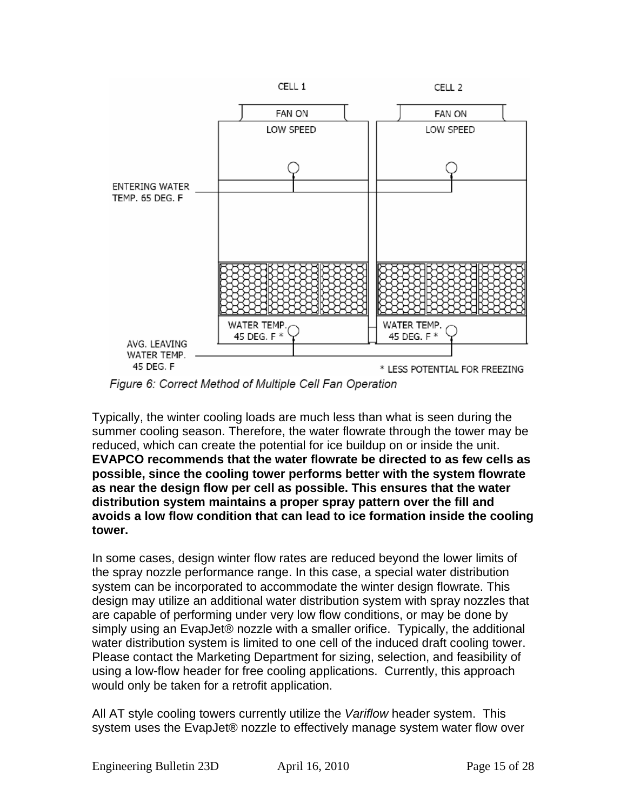

Figure 6: Correct Method of Multiple Cell Fan Operation

Typically, the winter cooling loads are much less than what is seen during the summer cooling season. Therefore, the water flowrate through the tower may be reduced, which can create the potential for ice buildup on or inside the unit. **EVAPCO recommends that the water flowrate be directed to as few cells as possible, since the cooling tower performs better with the system flowrate as near the design flow per cell as possible. This ensures that the water distribution system maintains a proper spray pattern over the fill and avoids a low flow condition that can lead to ice formation inside the cooling tower.**

In some cases, design winter flow rates are reduced beyond the lower limits of the spray nozzle performance range. In this case, a special water distribution system can be incorporated to accommodate the winter design flowrate. This design may utilize an additional water distribution system with spray nozzles that are capable of performing under very low flow conditions, or may be done by simply using an EvapJet® nozzle with a smaller orifice. Typically, the additional water distribution system is limited to one cell of the induced draft cooling tower. Please contact the Marketing Department for sizing, selection, and feasibility of using a low-flow header for free cooling applications. Currently, this approach would only be taken for a retrofit application.

All AT style cooling towers currently utilize the *Variflow* header system. This system uses the EvapJet® nozzle to effectively manage system water flow over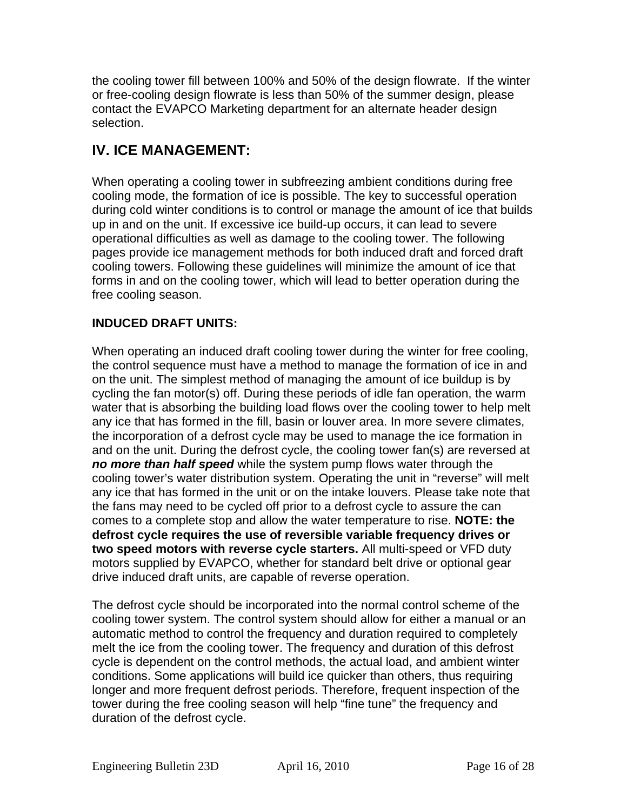the cooling tower fill between 100% and 50% of the design flowrate. If the winter or free-cooling design flowrate is less than 50% of the summer design, please contact the EVAPCO Marketing department for an alternate header design selection.

## **IV. ICE MANAGEMENT:**

When operating a cooling tower in subfreezing ambient conditions during free cooling mode, the formation of ice is possible. The key to successful operation during cold winter conditions is to control or manage the amount of ice that builds up in and on the unit. If excessive ice build-up occurs, it can lead to severe operational difficulties as well as damage to the cooling tower. The following pages provide ice management methods for both induced draft and forced draft cooling towers. Following these guidelines will minimize the amount of ice that forms in and on the cooling tower, which will lead to better operation during the free cooling season.

## **INDUCED DRAFT UNITS:**

When operating an induced draft cooling tower during the winter for free cooling, the control sequence must have a method to manage the formation of ice in and on the unit. The simplest method of managing the amount of ice buildup is by cycling the fan motor(s) off. During these periods of idle fan operation, the warm water that is absorbing the building load flows over the cooling tower to help melt any ice that has formed in the fill, basin or louver area. In more severe climates, the incorporation of a defrost cycle may be used to manage the ice formation in and on the unit. During the defrost cycle, the cooling tower fan(s) are reversed at *no more than half speed* while the system pump flows water through the cooling tower's water distribution system. Operating the unit in "reverse" will melt any ice that has formed in the unit or on the intake louvers. Please take note that the fans may need to be cycled off prior to a defrost cycle to assure the can comes to a complete stop and allow the water temperature to rise. **NOTE: the defrost cycle requires the use of reversible variable frequency drives or two speed motors with reverse cycle starters.** All multi-speed or VFD duty motors supplied by EVAPCO, whether for standard belt drive or optional gear drive induced draft units, are capable of reverse operation.

The defrost cycle should be incorporated into the normal control scheme of the cooling tower system. The control system should allow for either a manual or an automatic method to control the frequency and duration required to completely melt the ice from the cooling tower. The frequency and duration of this defrost cycle is dependent on the control methods, the actual load, and ambient winter conditions. Some applications will build ice quicker than others, thus requiring longer and more frequent defrost periods. Therefore, frequent inspection of the tower during the free cooling season will help "fine tune" the frequency and duration of the defrost cycle.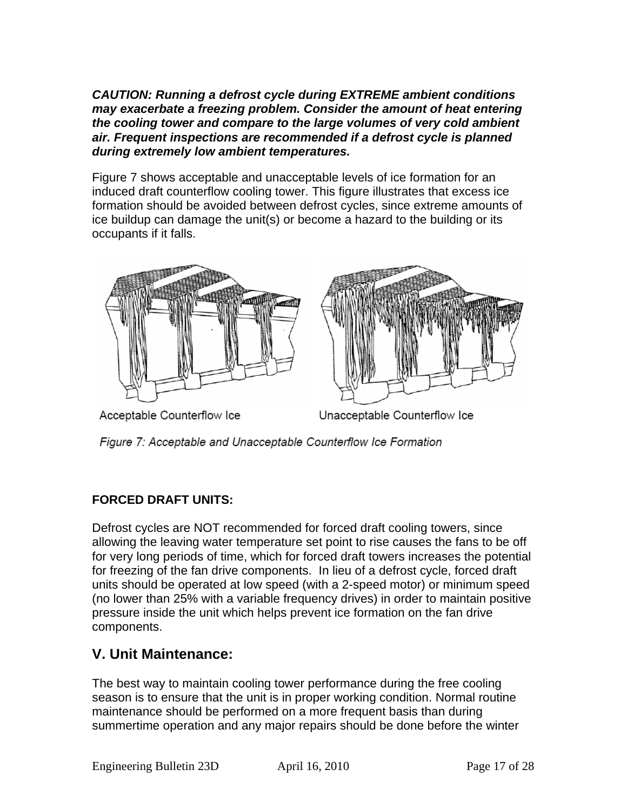*CAUTION: Running a defrost cycle during EXTREME ambient conditions may exacerbate a freezing problem. Consider the amount of heat entering the cooling tower and compare to the large volumes of very cold ambient air. Frequent inspections are recommended if a defrost cycle is planned during extremely low ambient temperatures.* 

Figure 7 shows acceptable and unacceptable levels of ice formation for an induced draft counterflow cooling tower. This figure illustrates that excess ice formation should be avoided between defrost cycles, since extreme amounts of ice buildup can damage the unit(s) or become a hazard to the building or its occupants if it falls.



Acceptable Counterflow Ice

Unacceptable Counterflow Ice

Figure 7: Acceptable and Unacceptable Counterflow Ice Formation

## **FORCED DRAFT UNITS:**

Defrost cycles are NOT recommended for forced draft cooling towers, since allowing the leaving water temperature set point to rise causes the fans to be off for very long periods of time, which for forced draft towers increases the potential for freezing of the fan drive components. In lieu of a defrost cycle, forced draft units should be operated at low speed (with a 2-speed motor) or minimum speed (no lower than 25% with a variable frequency drives) in order to maintain positive pressure inside the unit which helps prevent ice formation on the fan drive components.

## **V. Unit Maintenance:**

The best way to maintain cooling tower performance during the free cooling season is to ensure that the unit is in proper working condition. Normal routine maintenance should be performed on a more frequent basis than during summertime operation and any major repairs should be done before the winter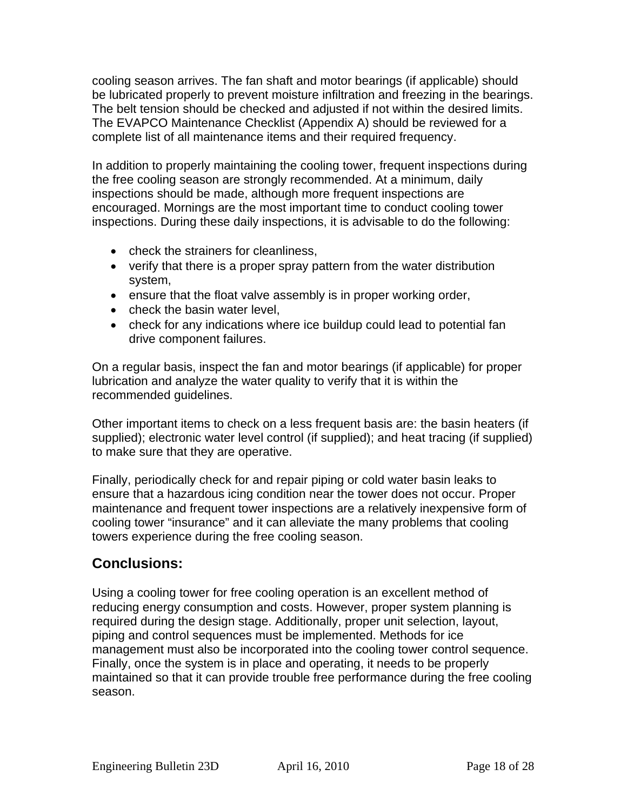cooling season arrives. The fan shaft and motor bearings (if applicable) should be lubricated properly to prevent moisture infiltration and freezing in the bearings. The belt tension should be checked and adjusted if not within the desired limits. The EVAPCO Maintenance Checklist (Appendix A) should be reviewed for a complete list of all maintenance items and their required frequency.

In addition to properly maintaining the cooling tower, frequent inspections during the free cooling season are strongly recommended. At a minimum, daily inspections should be made, although more frequent inspections are encouraged. Mornings are the most important time to conduct cooling tower inspections. During these daily inspections, it is advisable to do the following:

- check the strainers for cleanliness,
- verify that there is a proper spray pattern from the water distribution system,
- ensure that the float valve assembly is in proper working order,
- check the basin water level,
- check for any indications where ice buildup could lead to potential fan drive component failures.

On a regular basis, inspect the fan and motor bearings (if applicable) for proper lubrication and analyze the water quality to verify that it is within the recommended guidelines.

Other important items to check on a less frequent basis are: the basin heaters (if supplied); electronic water level control (if supplied); and heat tracing (if supplied) to make sure that they are operative.

Finally, periodically check for and repair piping or cold water basin leaks to ensure that a hazardous icing condition near the tower does not occur. Proper maintenance and frequent tower inspections are a relatively inexpensive form of cooling tower "insurance" and it can alleviate the many problems that cooling towers experience during the free cooling season.

## **Conclusions:**

Using a cooling tower for free cooling operation is an excellent method of reducing energy consumption and costs. However, proper system planning is required during the design stage. Additionally, proper unit selection, layout, piping and control sequences must be implemented. Methods for ice management must also be incorporated into the cooling tower control sequence. Finally, once the system is in place and operating, it needs to be properly maintained so that it can provide trouble free performance during the free cooling season.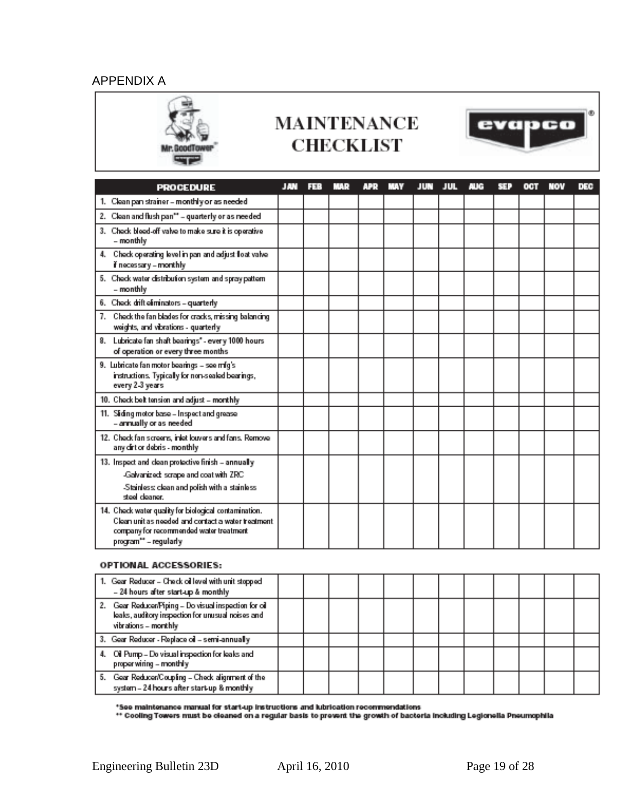### APPENDIX A



## **MAINTENANCE CHECKLIST**



| <b>PROCEDURE</b>                                                                                                                                                                 | JAN | 339 | MA 9 | APR | JUN | JUL | nue | 39. | ост | NOV | DEC |
|----------------------------------------------------------------------------------------------------------------------------------------------------------------------------------|-----|-----|------|-----|-----|-----|-----|-----|-----|-----|-----|
| 1. Clean pan strainer - monthly or as needed                                                                                                                                     |     |     |      |     |     |     |     |     |     |     |     |
| 2. Clean and flush pan** - quarterly or as needed                                                                                                                                |     |     |      |     |     |     |     |     |     |     |     |
| 3. Check bloed-off valve to make sure it is operative<br>- monthly                                                                                                               |     |     |      |     |     |     |     |     |     |     |     |
| Check operating level in pan and adjust float valve<br>4.<br>if necessary – monthly                                                                                              |     |     |      |     |     |     |     |     |     |     |     |
| 5. Check water distribution system and spray pattern<br>- monthly                                                                                                                |     |     |      |     |     |     |     |     |     |     |     |
| 6. Check drift eliminators - quarterly                                                                                                                                           |     |     |      |     |     |     |     |     |     |     |     |
| 7. Check the fan blades for cracks, missing balancing<br>weights, and vibrations - quarterly                                                                                     |     |     |      |     |     |     |     |     |     |     |     |
| 8. Lubricate fan shaft bearings" - every 1000 hours<br>of operation or every three months                                                                                        |     |     |      |     |     |     |     |     |     |     |     |
| 9. Lubricate fan motor bearings - see mfg's<br>instructions. Typically for non-sealed bearings,<br>every 2-3 years                                                               |     |     |      |     |     |     |     |     |     |     |     |
| 10. Check belt tension and adjust - monthly                                                                                                                                      |     |     |      |     |     |     |     |     |     |     |     |
| 11. Siding motor base - Inspect and grease<br>- annually or as needed                                                                                                            |     |     |      |     |     |     |     |     |     |     |     |
| 12. Check fan screens, inlet louvers and fans. Remove<br>any dirt or debris - monthly                                                                                            |     |     |      |     |     |     |     |     |     |     |     |
| 13. Inspect and clean protective finish - annually                                                                                                                               |     |     |      |     |     |     |     |     |     |     |     |
| -Galvanized: scrape and coat with ZRC                                                                                                                                            |     |     |      |     |     |     |     |     |     |     |     |
| -Stainless: clean and polish with a stainless<br>steel cleaner.                                                                                                                  |     |     |      |     |     |     |     |     |     |     |     |
| 14. Check water quality for biological contamination.<br>Clean unit as needed and contact a water treatment.<br>company for recommended water treatment<br>program** - regularly |     |     |      |     |     |     |     |     |     |     |     |

#### **OPTIONAL ACCESSORIES:**

| 1. Gear Reducer - Check oil level with unit stopped<br>- 24 hours after start-up & monthly                                            |  |  |  |  |  |  |
|---------------------------------------------------------------------------------------------------------------------------------------|--|--|--|--|--|--|
| Gear Reducer/Piping - Do visual inspection for oil<br>2.<br>leaks, auditory inspection for unusual noises and<br>vibrations - monthly |  |  |  |  |  |  |
| 3. Gear Reducer - Replace oil - semi-annually                                                                                         |  |  |  |  |  |  |
| Oil Pump - Do visual inspection for leaks and<br>proper wiring - monthly                                                              |  |  |  |  |  |  |
| Gear Reducen/Coupling - Check alignment of the<br>5.<br>system - 24 hours after start-up & monthly                                    |  |  |  |  |  |  |

\*See maintenance manual for start-up instructions and lubrication recommendations<br>\*\* Cooling Towers must be cleaned on a regular basis to prevent the growth of bacteria including Legionella Pneumophila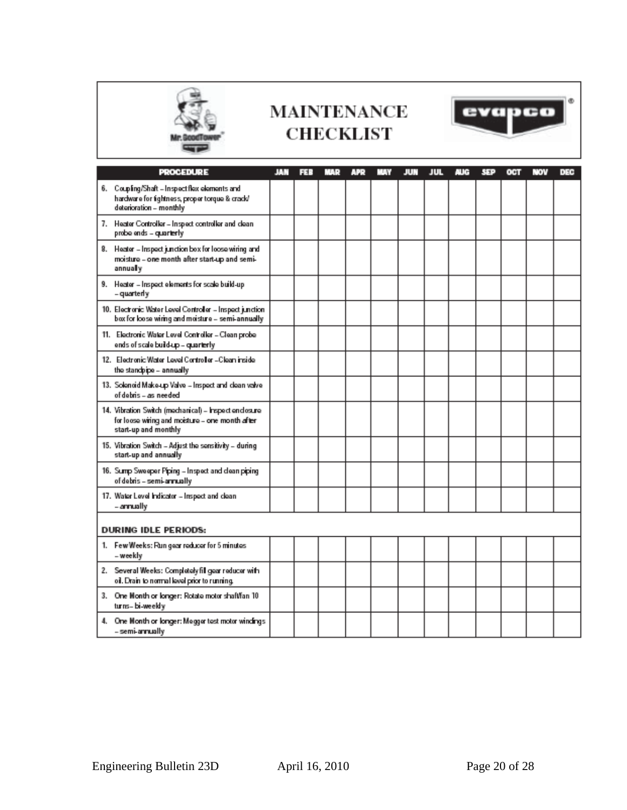

## **MAINTENANCE CHECKLIST**



| <b>PROCEDURE</b>                                                                                                                 | JAN | ES 3 | MA 9 | <b>APR</b> | 55 V | JUN | JUL | <b>AUG</b> | SEP | OCT | NOV | DEC |
|----------------------------------------------------------------------------------------------------------------------------------|-----|------|------|------------|------|-----|-----|------------|-----|-----|-----|-----|
| 6. Coupling/Shaft - Inspectifiex elements and<br>hardware for tightness, proper torque & crack/<br>deterioration - monthly       |     |      |      |            |      |     |     |            |     |     |     |     |
| 7. Heater Controller - Inspect controller and clean<br>probe ends - quarterly                                                    |     |      |      |            |      |     |     |            |     |     |     |     |
| 8. Heater - Inspect junction box for loose wiring and<br>moisture - one month after start-up and semi-<br>annually               |     |      |      |            |      |     |     |            |     |     |     |     |
| 9. Heater - Inspect elements for scale build-up<br>– quarterly                                                                   |     |      |      |            |      |     |     |            |     |     |     |     |
| 10. Electronic Water Level Controller - Inspect junction.<br>box for loose wiring and moisture – semi-annually.                  |     |      |      |            |      |     |     |            |     |     |     |     |
| 11. Electronic Water Level Controller - Clean probe<br>ends of scale build-up - quarterly                                        |     |      |      |            |      |     |     |            |     |     |     |     |
| 12. Electronic Water Level Controller - Clean inside<br>the standpipe - annually                                                 |     |      |      |            |      |     |     |            |     |     |     |     |
| 13. Solenoid Make-up Valve - Inspect and clean valve<br>of debris - as needed                                                    |     |      |      |            |      |     |     |            |     |     |     |     |
| 14. Vibration Switch (mechanical) - Inspect enclosure<br>for loose wiring and moisture - one month after<br>start-up and monthly |     |      |      |            |      |     |     |            |     |     |     |     |
| 15. Vibration Switch - Adjust the sensitivity - during<br>start-up and annually                                                  |     |      |      |            |      |     |     |            |     |     |     |     |
| 16. Sump Sweeper Piping - Inspect and clean piping<br>of debris – semi-annually                                                  |     |      |      |            |      |     |     |            |     |     |     |     |
| 17. Water Level Indicator - Inspect and clean<br>- annually                                                                      |     |      |      |            |      |     |     |            |     |     |     |     |
| <b>DURING IDLE PERIODS:</b>                                                                                                      |     |      |      |            |      |     |     |            |     |     |     |     |
| 1. Few Weeks: Run gear reducer for 5 minutes<br>– weekly                                                                         |     |      |      |            |      |     |     |            |     |     |     |     |
| 2. Several Weeks: Completely fill gear reducer with<br>oil. Drain to normal level prior to running.                              |     |      |      |            |      |     |     |            |     |     |     |     |
| 3. One Month or longer: Rotate motor shaft/fan 10<br>turns-bi-weekly                                                             |     |      |      |            |      |     |     |            |     |     |     |     |
| 4. One Month or longer: Megger test motor windings<br>– semi-annually                                                            |     |      |      |            |      |     |     |            |     |     |     |     |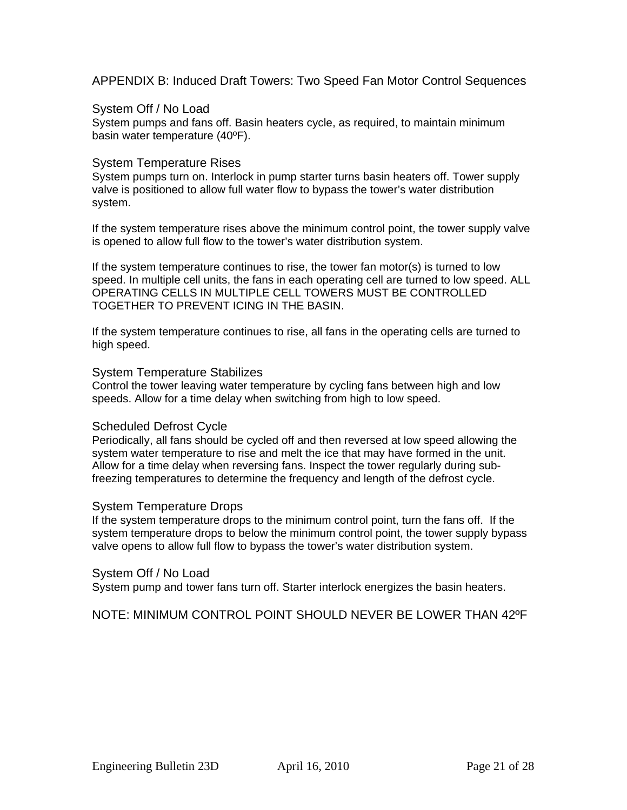APPENDIX B: Induced Draft Towers: Two Speed Fan Motor Control Sequences

### System Off / No Load

System pumps and fans off. Basin heaters cycle, as required, to maintain minimum basin water temperature (40ºF).

### System Temperature Rises

System pumps turn on. Interlock in pump starter turns basin heaters off. Tower supply valve is positioned to allow full water flow to bypass the tower's water distribution system.

If the system temperature rises above the minimum control point, the tower supply valve is opened to allow full flow to the tower's water distribution system.

If the system temperature continues to rise, the tower fan motor(s) is turned to low speed. In multiple cell units, the fans in each operating cell are turned to low speed. ALL OPERATING CELLS IN MULTIPLE CELL TOWERS MUST BE CONTROLLED TOGETHER TO PREVENT ICING IN THE BASIN.

If the system temperature continues to rise, all fans in the operating cells are turned to high speed.

#### System Temperature Stabilizes

Control the tower leaving water temperature by cycling fans between high and low speeds. Allow for a time delay when switching from high to low speed.

### Scheduled Defrost Cycle

Periodically, all fans should be cycled off and then reversed at low speed allowing the system water temperature to rise and melt the ice that may have formed in the unit. Allow for a time delay when reversing fans. Inspect the tower regularly during subfreezing temperatures to determine the frequency and length of the defrost cycle.

### System Temperature Drops

If the system temperature drops to the minimum control point, turn the fans off. If the system temperature drops to below the minimum control point, the tower supply bypass valve opens to allow full flow to bypass the tower's water distribution system.

### System Off / No Load

System pump and tower fans turn off. Starter interlock energizes the basin heaters.

NOTE: MINIMUM CONTROL POINT SHOULD NEVER BE LOWER THAN 42ºF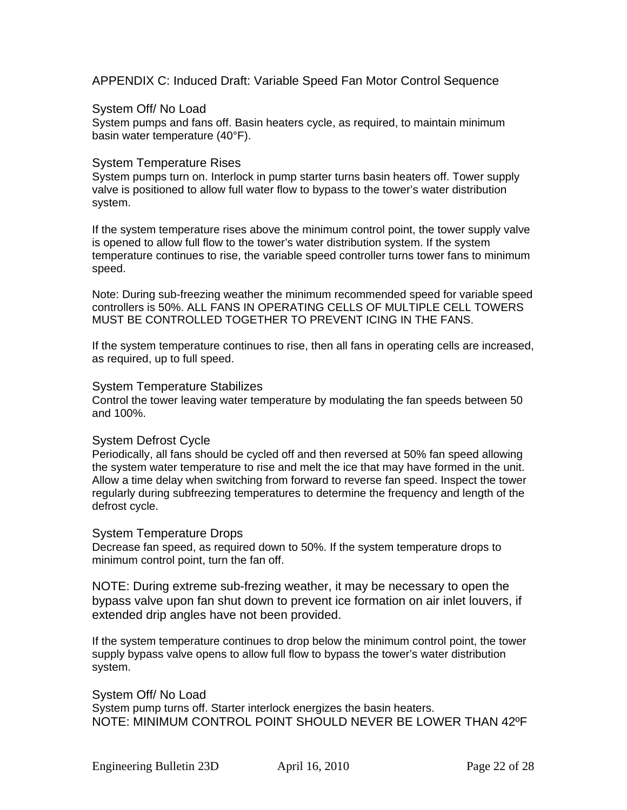APPENDIX C: Induced Draft: Variable Speed Fan Motor Control Sequence

### System Off/ No Load

System pumps and fans off. Basin heaters cycle, as required, to maintain minimum basin water temperature (40°F).

### System Temperature Rises

System pumps turn on. Interlock in pump starter turns basin heaters off. Tower supply valve is positioned to allow full water flow to bypass to the tower's water distribution system.

If the system temperature rises above the minimum control point, the tower supply valve is opened to allow full flow to the tower's water distribution system. If the system temperature continues to rise, the variable speed controller turns tower fans to minimum speed.

Note: During sub-freezing weather the minimum recommended speed for variable speed controllers is 50%. ALL FANS IN OPERATING CELLS OF MULTIPLE CELL TOWERS MUST BE CONTROLLED TOGETHER TO PREVENT ICING IN THE FANS.

If the system temperature continues to rise, then all fans in operating cells are increased, as required, up to full speed.

### System Temperature Stabilizes

Control the tower leaving water temperature by modulating the fan speeds between 50 and 100%.

### System Defrost Cycle

Periodically, all fans should be cycled off and then reversed at 50% fan speed allowing the system water temperature to rise and melt the ice that may have formed in the unit. Allow a time delay when switching from forward to reverse fan speed. Inspect the tower regularly during subfreezing temperatures to determine the frequency and length of the defrost cycle.

### System Temperature Drops

Decrease fan speed, as required down to 50%. If the system temperature drops to minimum control point, turn the fan off.

NOTE: During extreme sub-frezing weather, it may be necessary to open the bypass valve upon fan shut down to prevent ice formation on air inlet louvers, if extended drip angles have not been provided.

If the system temperature continues to drop below the minimum control point, the tower supply bypass valve opens to allow full flow to bypass the tower's water distribution system.

System Off/ No Load System pump turns off. Starter interlock energizes the basin heaters. NOTE: MINIMUM CONTROL POINT SHOULD NEVER BE LOWER THAN 42ºF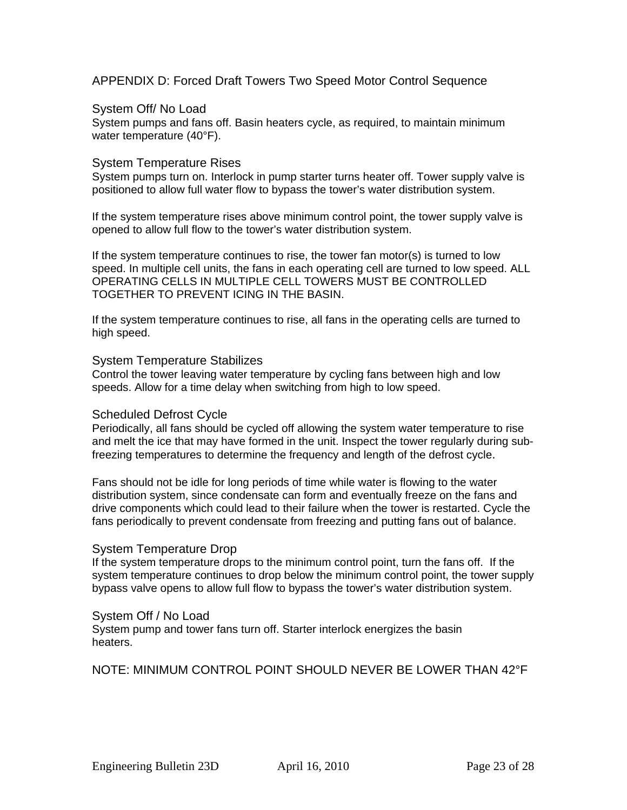APPENDIX D: Forced Draft Towers Two Speed Motor Control Sequence

### System Off/ No Load

System pumps and fans off. Basin heaters cycle, as required, to maintain minimum water temperature (40°F).

### System Temperature Rises

System pumps turn on. Interlock in pump starter turns heater off. Tower supply valve is positioned to allow full water flow to bypass the tower's water distribution system.

If the system temperature rises above minimum control point, the tower supply valve is opened to allow full flow to the tower's water distribution system.

If the system temperature continues to rise, the tower fan motor(s) is turned to low speed. In multiple cell units, the fans in each operating cell are turned to low speed. ALL OPERATING CELLS IN MULTIPLE CELL TOWERS MUST BE CONTROLLED TOGETHER TO PREVENT ICING IN THE BASIN.

If the system temperature continues to rise, all fans in the operating cells are turned to high speed.

### System Temperature Stabilizes

Control the tower leaving water temperature by cycling fans between high and low speeds. Allow for a time delay when switching from high to low speed.

### Scheduled Defrost Cycle

Periodically, all fans should be cycled off allowing the system water temperature to rise and melt the ice that may have formed in the unit. Inspect the tower regularly during subfreezing temperatures to determine the frequency and length of the defrost cycle.

Fans should not be idle for long periods of time while water is flowing to the water distribution system, since condensate can form and eventually freeze on the fans and drive components which could lead to their failure when the tower is restarted. Cycle the fans periodically to prevent condensate from freezing and putting fans out of balance.

### System Temperature Drop

If the system temperature drops to the minimum control point, turn the fans off. If the system temperature continues to drop below the minimum control point, the tower supply bypass valve opens to allow full flow to bypass the tower's water distribution system.

### System Off / No Load

System pump and tower fans turn off. Starter interlock energizes the basin heaters.

### NOTE: MINIMUM CONTROL POINT SHOULD NEVER BE LOWER THAN 42°F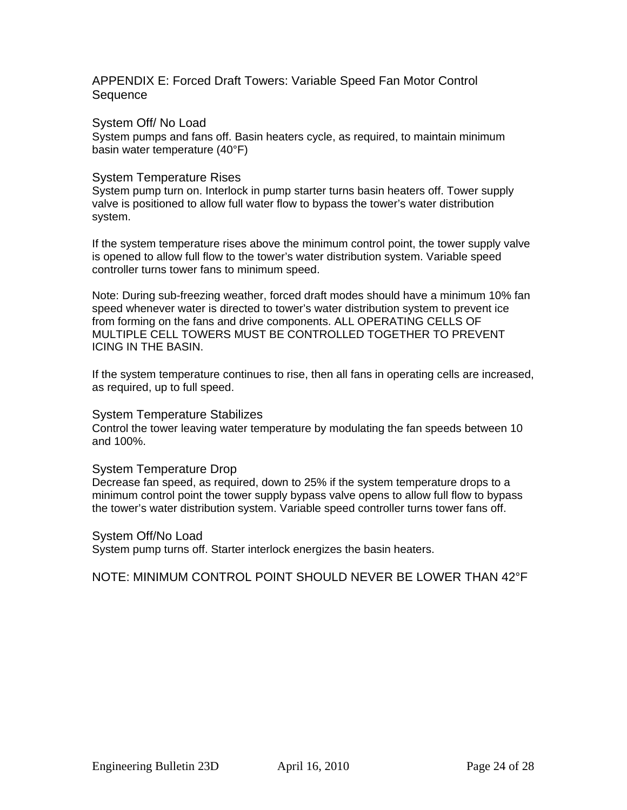APPENDIX E: Forced Draft Towers: Variable Speed Fan Motor Control **Sequence** 

System Off/ No Load

System pumps and fans off. Basin heaters cycle, as required, to maintain minimum basin water temperature (40°F)

### System Temperature Rises

System pump turn on. Interlock in pump starter turns basin heaters off. Tower supply valve is positioned to allow full water flow to bypass the tower's water distribution system.

If the system temperature rises above the minimum control point, the tower supply valve is opened to allow full flow to the tower's water distribution system. Variable speed controller turns tower fans to minimum speed.

Note: During sub-freezing weather, forced draft modes should have a minimum 10% fan speed whenever water is directed to tower's water distribution system to prevent ice from forming on the fans and drive components. ALL OPERATING CELLS OF MULTIPLE CELL TOWERS MUST BE CONTROLLED TOGETHER TO PREVENT ICING IN THE BASIN.

If the system temperature continues to rise, then all fans in operating cells are increased, as required, up to full speed.

### System Temperature Stabilizes

Control the tower leaving water temperature by modulating the fan speeds between 10 and 100%.

### System Temperature Drop

Decrease fan speed, as required, down to 25% if the system temperature drops to a minimum control point the tower supply bypass valve opens to allow full flow to bypass the tower's water distribution system. Variable speed controller turns tower fans off.

### System Off/No Load

System pump turns off. Starter interlock energizes the basin heaters.

NOTE: MINIMUM CONTROL POINT SHOULD NEVER BE LOWER THAN 42°F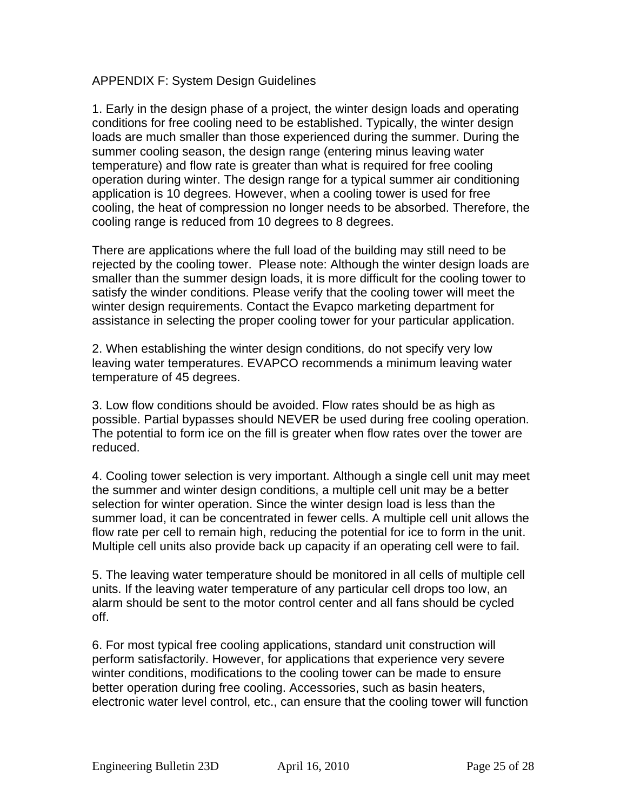### APPENDIX F: System Design Guidelines

1. Early in the design phase of a project, the winter design loads and operating conditions for free cooling need to be established. Typically, the winter design loads are much smaller than those experienced during the summer. During the summer cooling season, the design range (entering minus leaving water temperature) and flow rate is greater than what is required for free cooling operation during winter. The design range for a typical summer air conditioning application is 10 degrees. However, when a cooling tower is used for free cooling, the heat of compression no longer needs to be absorbed. Therefore, the cooling range is reduced from 10 degrees to 8 degrees.

There are applications where the full load of the building may still need to be rejected by the cooling tower. Please note: Although the winter design loads are smaller than the summer design loads, it is more difficult for the cooling tower to satisfy the winder conditions. Please verify that the cooling tower will meet the winter design requirements. Contact the Evapco marketing department for assistance in selecting the proper cooling tower for your particular application.

2. When establishing the winter design conditions, do not specify very low leaving water temperatures. EVAPCO recommends a minimum leaving water temperature of 45 degrees.

3. Low flow conditions should be avoided. Flow rates should be as high as possible. Partial bypasses should NEVER be used during free cooling operation. The potential to form ice on the fill is greater when flow rates over the tower are reduced.

4. Cooling tower selection is very important. Although a single cell unit may meet the summer and winter design conditions, a multiple cell unit may be a better selection for winter operation. Since the winter design load is less than the summer load, it can be concentrated in fewer cells. A multiple cell unit allows the flow rate per cell to remain high, reducing the potential for ice to form in the unit. Multiple cell units also provide back up capacity if an operating cell were to fail.

5. The leaving water temperature should be monitored in all cells of multiple cell units. If the leaving water temperature of any particular cell drops too low, an alarm should be sent to the motor control center and all fans should be cycled off.

6. For most typical free cooling applications, standard unit construction will perform satisfactorily. However, for applications that experience very severe winter conditions, modifications to the cooling tower can be made to ensure better operation during free cooling. Accessories, such as basin heaters, electronic water level control, etc., can ensure that the cooling tower will function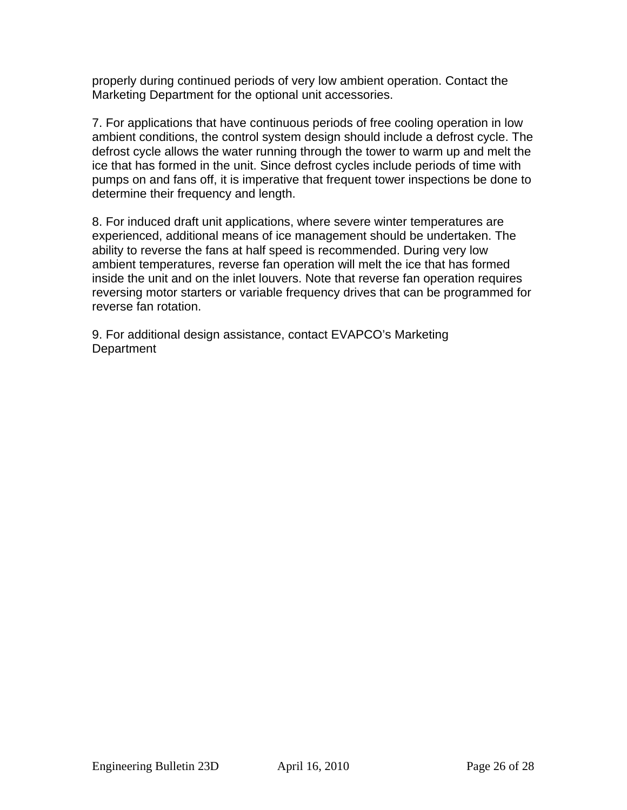properly during continued periods of very low ambient operation. Contact the Marketing Department for the optional unit accessories.

7. For applications that have continuous periods of free cooling operation in low ambient conditions, the control system design should include a defrost cycle. The defrost cycle allows the water running through the tower to warm up and melt the ice that has formed in the unit. Since defrost cycles include periods of time with pumps on and fans off, it is imperative that frequent tower inspections be done to determine their frequency and length.

8. For induced draft unit applications, where severe winter temperatures are experienced, additional means of ice management should be undertaken. The ability to reverse the fans at half speed is recommended. During very low ambient temperatures, reverse fan operation will melt the ice that has formed inside the unit and on the inlet louvers. Note that reverse fan operation requires reversing motor starters or variable frequency drives that can be programmed for reverse fan rotation.

9. For additional design assistance, contact EVAPCO's Marketing **Department**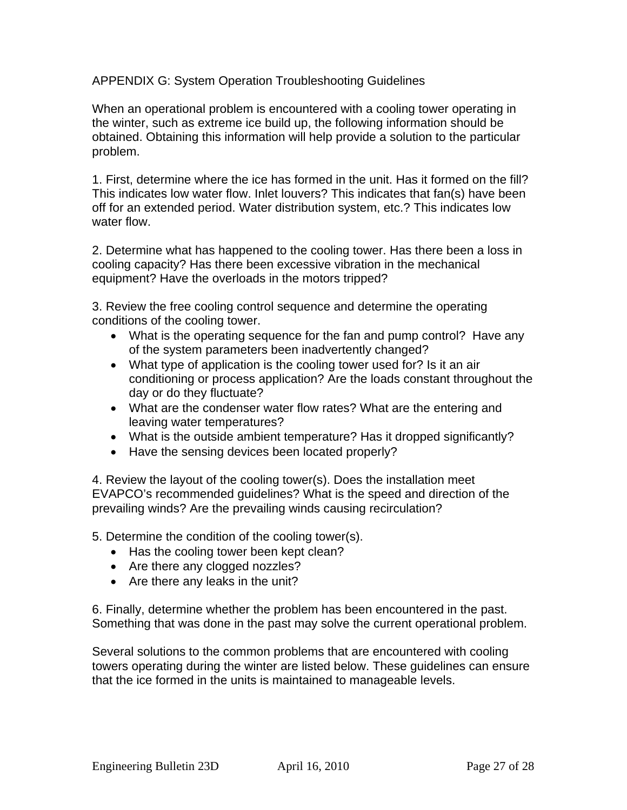APPENDIX G: System Operation Troubleshooting Guidelines

When an operational problem is encountered with a cooling tower operating in the winter, such as extreme ice build up, the following information should be obtained. Obtaining this information will help provide a solution to the particular problem.

1. First, determine where the ice has formed in the unit. Has it formed on the fill? This indicates low water flow. Inlet louvers? This indicates that fan(s) have been off for an extended period. Water distribution system, etc.? This indicates low water flow.

2. Determine what has happened to the cooling tower. Has there been a loss in cooling capacity? Has there been excessive vibration in the mechanical equipment? Have the overloads in the motors tripped?

3. Review the free cooling control sequence and determine the operating conditions of the cooling tower.

- What is the operating sequence for the fan and pump control? Have any of the system parameters been inadvertently changed?
- What type of application is the cooling tower used for? Is it an air conditioning or process application? Are the loads constant throughout the day or do they fluctuate?
- What are the condenser water flow rates? What are the entering and leaving water temperatures?
- What is the outside ambient temperature? Has it dropped significantly?
- Have the sensing devices been located properly?

4. Review the layout of the cooling tower(s). Does the installation meet EVAPCO's recommended guidelines? What is the speed and direction of the prevailing winds? Are the prevailing winds causing recirculation?

5. Determine the condition of the cooling tower(s).

- Has the cooling tower been kept clean?
- Are there any clogged nozzles?
- Are there any leaks in the unit?

6. Finally, determine whether the problem has been encountered in the past. Something that was done in the past may solve the current operational problem.

Several solutions to the common problems that are encountered with cooling towers operating during the winter are listed below. These guidelines can ensure that the ice formed in the units is maintained to manageable levels.